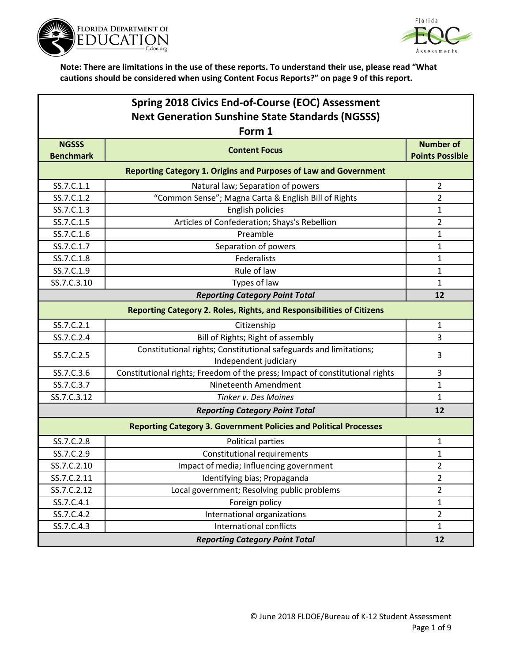



| Spring 2018 Civics End-of-Course (EOC) Assessment                            |                                                                              |                        |
|------------------------------------------------------------------------------|------------------------------------------------------------------------------|------------------------|
|                                                                              | <b>Next Generation Sunshine State Standards (NGSSS)</b>                      |                        |
|                                                                              | Form 1                                                                       |                        |
| <b>NGSSS</b>                                                                 | <b>Content Focus</b>                                                         | <b>Number of</b>       |
| <b>Benchmark</b>                                                             |                                                                              | <b>Points Possible</b> |
|                                                                              | <b>Reporting Category 1. Origins and Purposes of Law and Government</b>      |                        |
| SS.7.C.1.1                                                                   | Natural law; Separation of powers                                            | $\overline{2}$         |
| SS.7.C.1.2                                                                   | "Common Sense"; Magna Carta & English Bill of Rights                         | $\overline{2}$         |
| SS.7.C.1.3                                                                   | English policies                                                             | 1                      |
| SS.7.C.1.5                                                                   | Articles of Confederation; Shays's Rebellion                                 | $\overline{2}$         |
| SS.7.C.1.6                                                                   | Preamble                                                                     | 1                      |
| SS.7.C.1.7                                                                   | Separation of powers                                                         | 1                      |
| SS.7.C.1.8                                                                   | <b>Federalists</b>                                                           | 1                      |
| SS.7.C.1.9                                                                   | Rule of law                                                                  | $\mathbf{1}$           |
| SS.7.C.3.10                                                                  | Types of law                                                                 | 1                      |
| <b>Reporting Category Point Total</b>                                        |                                                                              |                        |
| <b>Reporting Category 2. Roles, Rights, and Responsibilities of Citizens</b> |                                                                              |                        |
| SS.7.C.2.1                                                                   | Citizenship                                                                  | 1                      |
| SS.7.C.2.4                                                                   | Bill of Rights; Right of assembly                                            | 3                      |
| SS.7.C.2.5                                                                   | Constitutional rights; Constitutional safeguards and limitations;            | 3                      |
|                                                                              | Independent judiciary                                                        |                        |
| SS.7.C.3.6                                                                   | Constitutional rights; Freedom of the press; Impact of constitutional rights | 3                      |
| SS.7.C.3.7                                                                   | Nineteenth Amendment                                                         | $\mathbf{1}$           |
| SS.7.C.3.12                                                                  | Tinker v. Des Moines                                                         | $\mathbf{1}$           |
|                                                                              | <b>Reporting Category Point Total</b>                                        | 12                     |
|                                                                              | <b>Reporting Category 3. Government Policies and Political Processes</b>     |                        |
| SS.7.C.2.8                                                                   | Political parties                                                            | $\mathbf{1}$           |
| SS.7.C.2.9                                                                   | <b>Constitutional requirements</b>                                           | 1                      |
| SS.7.C.2.10                                                                  | Impact of media; Influencing government                                      | $\overline{2}$         |
| SS.7.C.2.11                                                                  | Identifying bias; Propaganda                                                 | $\overline{2}$         |
| SS.7.C.2.12                                                                  | Local government; Resolving public problems                                  | $\overline{2}$         |
| SS.7.C.4.1                                                                   | Foreign policy                                                               | $\mathbf{1}$           |
| SS.7.C.4.2                                                                   | International organizations                                                  | $\overline{2}$         |
| SS.7.C.4.3                                                                   | <b>International conflicts</b>                                               | $\mathbf{1}$           |
| <b>Reporting Category Point Total</b><br>12                                  |                                                                              |                        |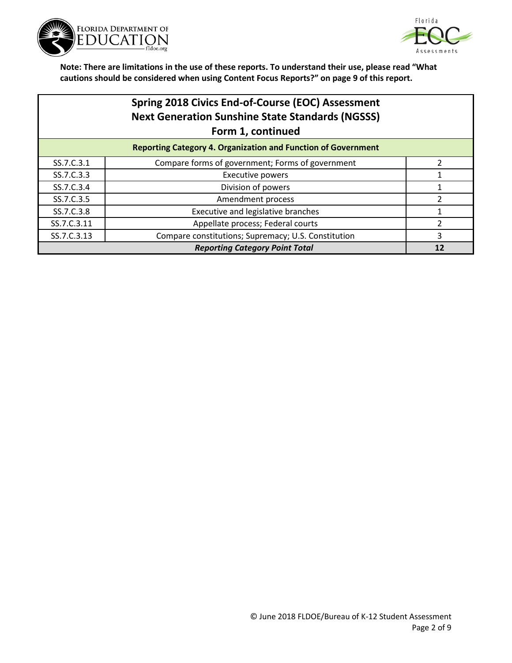



|             | <b>Spring 2018 Civics End-of-Course (EOC) Assessment</b><br><b>Next Generation Sunshine State Standards (NGSSS)</b><br>Form 1, continued |    |
|-------------|------------------------------------------------------------------------------------------------------------------------------------------|----|
|             | <b>Reporting Category 4. Organization and Function of Government</b>                                                                     |    |
| SS.7.C.3.1  | Compare forms of government; Forms of government                                                                                         | 2  |
| SS.7.C.3.3  | <b>Executive powers</b>                                                                                                                  |    |
| SS.7.C.3.4  | Division of powers                                                                                                                       |    |
| SS.7.C.3.5  | Amendment process                                                                                                                        | 2  |
| SS.7.C.3.8  | Executive and legislative branches                                                                                                       |    |
| SS.7.C.3.11 | Appellate process; Federal courts                                                                                                        |    |
| SS.7.C.3.13 | Compare constitutions; Supremacy; U.S. Constitution                                                                                      | 3  |
|             | <b>Reporting Category Point Total</b>                                                                                                    | 12 |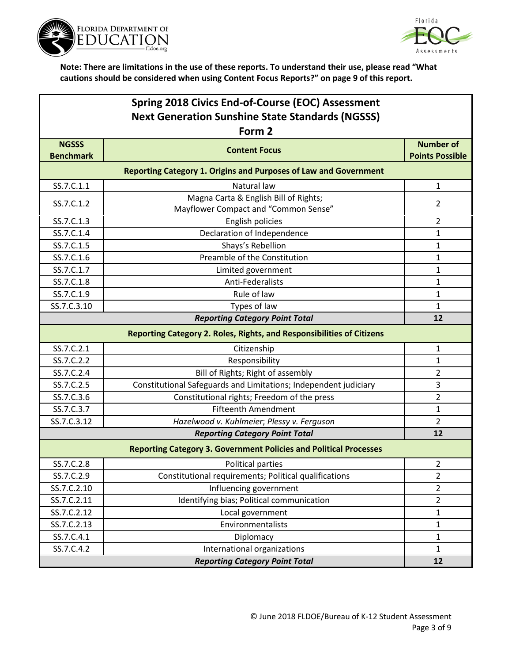



| Spring 2018 Civics End-of-Course (EOC) Assessment                 |                                                                               |                        |
|-------------------------------------------------------------------|-------------------------------------------------------------------------------|------------------------|
| <b>Next Generation Sunshine State Standards (NGSSS)</b><br>Form 2 |                                                                               |                        |
| <b>NGSSS</b>                                                      |                                                                               | <b>Number of</b>       |
| <b>Benchmark</b>                                                  | <b>Content Focus</b>                                                          | <b>Points Possible</b> |
|                                                                   | <b>Reporting Category 1. Origins and Purposes of Law and Government</b>       |                        |
| SS.7.C.1.1                                                        | Natural law                                                                   | 1                      |
| SS.7.C.1.2                                                        | Magna Carta & English Bill of Rights;<br>Mayflower Compact and "Common Sense" | 2                      |
| SS.7.C.1.3                                                        | English policies                                                              | 2                      |
| SS.7.C.1.4                                                        | Declaration of Independence                                                   | 1                      |
| SS.7.C.1.5                                                        | Shays's Rebellion                                                             | 1                      |
| SS.7.C.1.6                                                        | Preamble of the Constitution                                                  | 1                      |
| SS.7.C.1.7                                                        | Limited government                                                            | 1                      |
| SS.7.C.1.8                                                        | Anti-Federalists                                                              | 1                      |
| SS.7.C.1.9                                                        | Rule of law                                                                   | 1                      |
| SS.7.C.3.10                                                       | Types of law                                                                  | 1                      |
| <b>Reporting Category Point Total</b>                             |                                                                               | 12                     |
|                                                                   | Reporting Category 2. Roles, Rights, and Responsibilities of Citizens         |                        |
| SS.7.C.2.1                                                        | Citizenship                                                                   | 1                      |
| SS.7.C.2.2                                                        | Responsibility                                                                | 1                      |
| SS.7.C.2.4                                                        | Bill of Rights; Right of assembly                                             | 2                      |
| SS.7.C.2.5                                                        | Constitutional Safeguards and Limitations; Independent judiciary              | 3                      |
| SS.7.C.3.6                                                        | Constitutional rights; Freedom of the press                                   | $\overline{2}$         |
| SS.7.C.3.7                                                        | <b>Fifteenth Amendment</b>                                                    | 1                      |
| SS.7.C.3.12                                                       | Hazelwood v. Kuhlmeier; Plessy v. Ferguson                                    | 2                      |
|                                                                   | <b>Reporting Category Point Total</b>                                         | 12                     |
|                                                                   | <b>Reporting Category 3. Government Policies and Political Processes</b>      |                        |
| SS.7.C.2.8                                                        | Political parties                                                             | 2                      |
| SS.7.C.2.9                                                        | Constitutional requirements; Political qualifications                         | 2                      |
| SS.7.C.2.10                                                       | Influencing government                                                        | $\overline{2}$         |
| SS.7.C.2.11                                                       | Identifying bias; Political communication                                     | $\overline{2}$         |
| SS.7.C.2.12                                                       | Local government                                                              | $\mathbf{1}$           |
| SS.7.C.2.13                                                       | Environmentalists                                                             | $\mathbf{1}$           |
| SS.7.C.4.1                                                        | Diplomacy                                                                     | $\mathbf{1}$           |
| SS.7.C.4.2                                                        | International organizations                                                   | $\mathbf{1}$           |
|                                                                   | <b>Reporting Category Point Total</b>                                         | 12                     |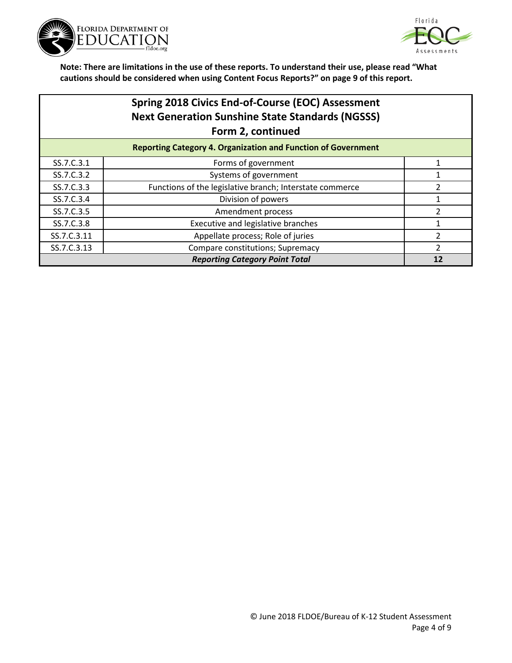



## **Spring 2018 Civics End-of-Course (EOC) Assessment Next Generation Sunshine State Standards (NGSSS) Form 2, continued**

| <b>Reporting Category 4. Organization and Function of Government</b> |                                                          |  |
|----------------------------------------------------------------------|----------------------------------------------------------|--|
| SS.7.C.3.1                                                           | Forms of government                                      |  |
| SS.7.C.3.2                                                           | Systems of government                                    |  |
| SS.7.C.3.3                                                           | Functions of the legislative branch; Interstate commerce |  |
| SS.7.C.3.4                                                           | Division of powers                                       |  |
| SS.7.C.3.5                                                           | Amendment process                                        |  |
| SS.7.C.3.8                                                           | Executive and legislative branches                       |  |
| SS.7.C.3.11                                                          | Appellate process; Role of juries                        |  |
| SS.7.C.3.13                                                          | Compare constitutions; Supremacy                         |  |
| <b>Reporting Category Point Total</b>                                |                                                          |  |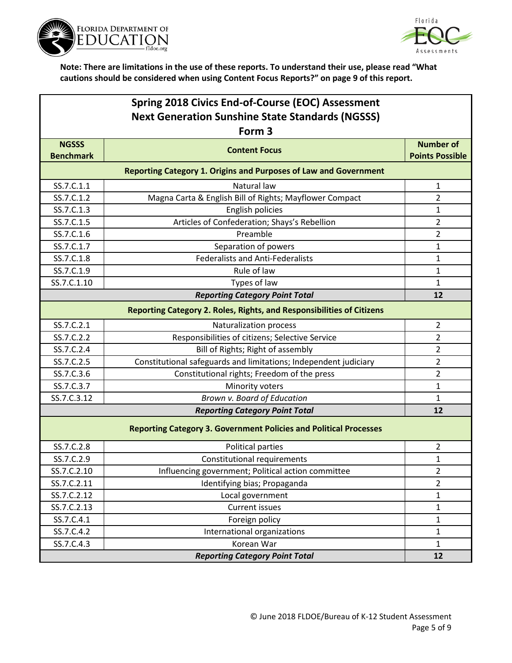



| <b>Spring 2018 Civics End-of-Course (EOC) Assessment</b>                 |                                                                              |                        |  |
|--------------------------------------------------------------------------|------------------------------------------------------------------------------|------------------------|--|
| <b>Next Generation Sunshine State Standards (NGSSS)</b>                  |                                                                              |                        |  |
|                                                                          | Form 3                                                                       |                        |  |
| <b>NGSSS</b>                                                             | <b>Content Focus</b>                                                         | <b>Number of</b>       |  |
| <b>Benchmark</b>                                                         |                                                                              | <b>Points Possible</b> |  |
|                                                                          | <b>Reporting Category 1. Origins and Purposes of Law and Government</b>      |                        |  |
| SS.7.C.1.1                                                               | Natural law                                                                  | $\mathbf{1}$           |  |
| SS.7.C.1.2                                                               | Magna Carta & English Bill of Rights; Mayflower Compact                      | $\overline{2}$         |  |
| SS.7.C.1.3                                                               | English policies                                                             | $\mathbf{1}$           |  |
| SS.7.C.1.5                                                               | Articles of Confederation; Shays's Rebellion                                 | $\overline{2}$         |  |
| SS.7.C.1.6                                                               | Preamble                                                                     | $\overline{2}$         |  |
| SS.7.C.1.7                                                               | Separation of powers                                                         | 1                      |  |
| SS.7.C.1.8                                                               | <b>Federalists and Anti-Federalists</b>                                      | 1                      |  |
| SS.7.C.1.9                                                               | Rule of law                                                                  | $\mathbf{1}$           |  |
| SS.7.C.1.10                                                              | Types of law                                                                 | $\mathbf{1}$           |  |
| <b>Reporting Category Point Total</b>                                    |                                                                              |                        |  |
|                                                                          | <b>Reporting Category 2. Roles, Rights, and Responsibilities of Citizens</b> |                        |  |
| SS.7.C.2.1                                                               | Naturalization process                                                       | $\overline{2}$         |  |
| SS.7.C.2.2                                                               | Responsibilities of citizens; Selective Service                              | $\overline{2}$         |  |
| SS.7.C.2.4                                                               | Bill of Rights; Right of assembly                                            | $\overline{2}$         |  |
| SS.7.C.2.5                                                               | Constitutional safeguards and limitations; Independent judiciary             | $\overline{2}$         |  |
| SS.7.C.3.6                                                               | Constitutional rights; Freedom of the press                                  | $\overline{2}$         |  |
| SS.7.C.3.7                                                               | Minority voters                                                              | 1                      |  |
| SS.7.C.3.12                                                              | Brown v. Board of Education                                                  | 1                      |  |
|                                                                          | <b>Reporting Category Point Total</b>                                        | 12                     |  |
| <b>Reporting Category 3. Government Policies and Political Processes</b> |                                                                              |                        |  |
| SS.7.C.2.8                                                               | Political parties                                                            | $\overline{2}$         |  |
| SS.7.C.2.9                                                               | Constitutional requirements                                                  | 1                      |  |
| SS.7.C.2.10                                                              | Influencing government; Political action committee                           | 2                      |  |
| SS.7.C.2.11                                                              | Identifying bias; Propaganda                                                 | $\overline{2}$         |  |
| SS.7.C.2.12                                                              | Local government                                                             | $\mathbf{1}$           |  |
| SS.7.C.2.13                                                              | <b>Current issues</b>                                                        | $\mathbf{1}$           |  |
| SS.7.C.4.1                                                               | Foreign policy                                                               | $\mathbf{1}$           |  |
| SS.7.C.4.2                                                               | International organizations                                                  | $\mathbf{1}$           |  |
| SS.7.C.4.3                                                               | Korean War                                                                   | $\mathbf{1}$           |  |
|                                                                          | <b>Reporting Category Point Total</b>                                        | 12                     |  |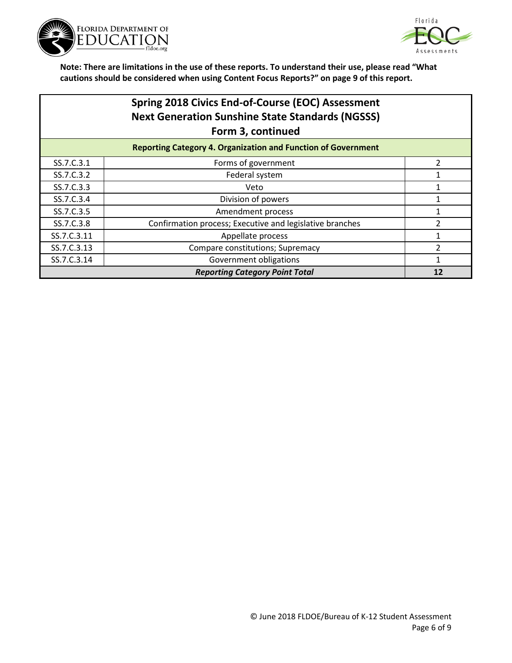



|             | Spring 2018 Civics End-of-Course (EOC) Assessment<br><b>Next Generation Sunshine State Standards (NGSSS)</b> |               |
|-------------|--------------------------------------------------------------------------------------------------------------|---------------|
|             | Form 3, continued                                                                                            |               |
|             | <b>Reporting Category 4. Organization and Function of Government</b>                                         |               |
| SS.7.C.3.1  | Forms of government                                                                                          | $\mathcal{P}$ |
| SS.7.C.3.2  | Federal system                                                                                               |               |
| SS.7.C.3.3  | Veto                                                                                                         |               |
| SS.7.C.3.4  | Division of powers                                                                                           |               |
| SS.7.C.3.5  | Amendment process                                                                                            |               |
| SS.7.C.3.8  | Confirmation process; Executive and legislative branches                                                     | 2             |
| SS.7.C.3.11 | Appellate process                                                                                            |               |
| SS.7.C.3.13 | Compare constitutions; Supremacy                                                                             | 2             |
| SS.7.C.3.14 | Government obligations                                                                                       |               |
|             | <b>Reporting Category Point Total</b>                                                                        | 12            |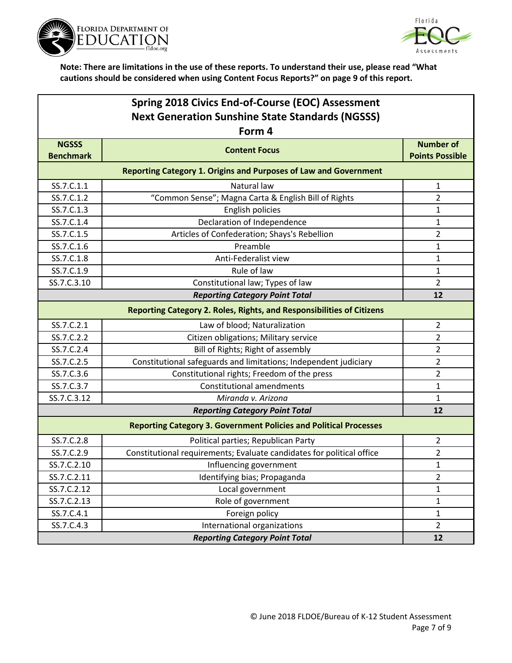



| Spring 2018 Civics End-of-Course (EOC) Assessment                     |                                                                          |                        |
|-----------------------------------------------------------------------|--------------------------------------------------------------------------|------------------------|
| <b>Next Generation Sunshine State Standards (NGSSS)</b>               |                                                                          |                        |
|                                                                       | Form 4                                                                   |                        |
| <b>NGSSS</b>                                                          | <b>Content Focus</b>                                                     | <b>Number of</b>       |
| <b>Benchmark</b>                                                      |                                                                          | <b>Points Possible</b> |
|                                                                       | <b>Reporting Category 1. Origins and Purposes of Law and Government</b>  |                        |
| SS.7.C.1.1                                                            | Natural law                                                              | $\mathbf{1}$           |
| SS.7.C.1.2                                                            | "Common Sense"; Magna Carta & English Bill of Rights                     | 2                      |
| SS.7.C.1.3                                                            | English policies                                                         | 1                      |
| SS.7.C.1.4                                                            | Declaration of Independence                                              | 1                      |
| SS.7.C.1.5                                                            | Articles of Confederation; Shays's Rebellion                             | $\overline{2}$         |
| SS.7.C.1.6                                                            | Preamble                                                                 | $\mathbf{1}$           |
| SS.7.C.1.8                                                            | Anti-Federalist view                                                     | $\mathbf{1}$           |
| SS.7.C.1.9                                                            | Rule of law                                                              | 1                      |
| SS.7.C.3.10                                                           | Constitutional law; Types of law                                         | $\overline{2}$         |
| <b>Reporting Category Point Total</b>                                 |                                                                          | 12                     |
| Reporting Category 2. Roles, Rights, and Responsibilities of Citizens |                                                                          |                        |
| SS.7.C.2.1                                                            | Law of blood; Naturalization                                             | $\overline{2}$         |
| SS.7.C.2.2                                                            | Citizen obligations; Military service                                    | $\overline{2}$         |
| SS.7.C.2.4                                                            | Bill of Rights; Right of assembly                                        | $\overline{2}$         |
| SS.7.C.2.5                                                            | Constitutional safeguards and limitations; Independent judiciary         | 2                      |
| SS.7.C.3.6                                                            | Constitutional rights; Freedom of the press                              | $\overline{2}$         |
| SS.7.C.3.7                                                            | <b>Constitutional amendments</b>                                         | $\mathbf{1}$           |
| SS.7.C.3.12                                                           | Miranda v. Arizona                                                       | 1                      |
|                                                                       | <b>Reporting Category Point Total</b>                                    | 12                     |
|                                                                       | <b>Reporting Category 3. Government Policies and Political Processes</b> |                        |
| SS.7.C.2.8                                                            | Political parties; Republican Party                                      | $\overline{2}$         |
| SS.7.C.2.9                                                            | Constitutional requirements; Evaluate candidates for political office    | $\overline{2}$         |
| SS.7.C.2.10                                                           | Influencing government                                                   | $\mathbf{1}$           |
| SS.7.C.2.11                                                           | Identifying bias; Propaganda                                             | $\overline{2}$         |
| SS.7.C.2.12                                                           | Local government                                                         | 1                      |
| SS.7.C.2.13                                                           | Role of government                                                       | $\mathbf{1}$           |
| SS.7.C.4.1                                                            | Foreign policy                                                           | $\mathbf{1}$           |
| SS.7.C.4.3                                                            | International organizations                                              | $\overline{2}$         |
|                                                                       | <b>Reporting Category Point Total</b>                                    | 12                     |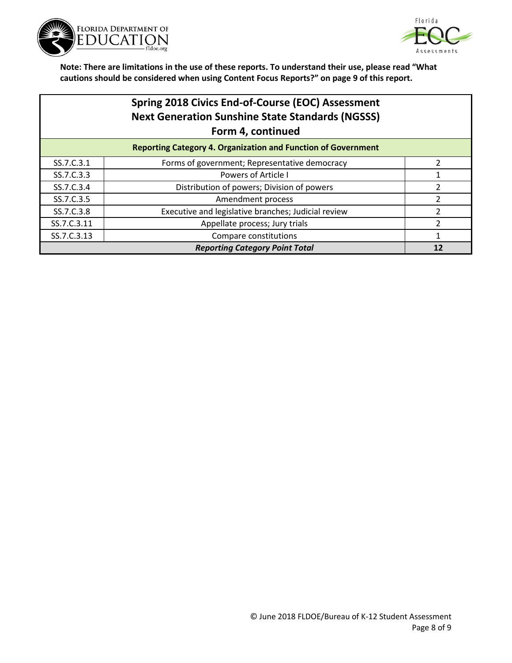



## **Spring 2018 Civics End-of-Course (EOC) Assessment Next Generation Sunshine State Standards (NGSSS) Form 4, continued**

| <b>Reporting Category 4. Organization and Function of Government</b> |                                                     |  |
|----------------------------------------------------------------------|-----------------------------------------------------|--|
| SS.7.C.3.1                                                           | Forms of government; Representative democracy       |  |
| SS.7.C.3.3                                                           | Powers of Article I                                 |  |
| SS.7.C.3.4                                                           | Distribution of powers; Division of powers          |  |
| SS.7.C.3.5                                                           | Amendment process                                   |  |
| SS.7.C.3.8                                                           | Executive and legislative branches; Judicial review |  |
| SS.7.C.3.11                                                          | Appellate process; Jury trials                      |  |
| SS.7.C.3.13                                                          | Compare constitutions                               |  |
| <b>Reporting Category Point Total</b>                                |                                                     |  |